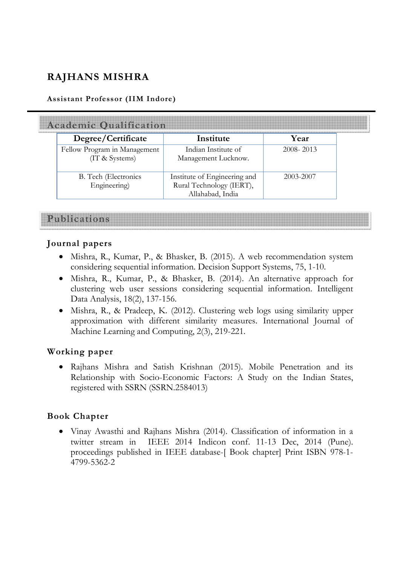# **RAJHANS MISHRA**

#### **Assistant Professor (IIM Indore)**

| <b>Academic Qualification</b>                  |                                                                              |               |
|------------------------------------------------|------------------------------------------------------------------------------|---------------|
| Degree/Certificate                             | Institute                                                                    | Year          |
| Fellow Program in Management<br>(IT & Systems) | Indian Institute of<br>Management Lucknow.                                   | $2008 - 2013$ |
| B. Tech (Electronics<br>Engineering)           | Institute of Engineering and<br>Rural Technology (IERT),<br>Allahabad, India | 2003-2007     |

**Publications** 

#### **Journal papers**

- Mishra, R., Kumar, P., & Bhasker, B. (2015). A web recommendation system considering sequential information. Decision Support Systems, 75, 1-10.
- Mishra, R., Kumar, P., & Bhasker, B. (2014). An alternative approach for clustering web user sessions considering sequential information. Intelligent Data Analysis, 18(2), 137-156.
- Mishra, R., & Pradeep, K. (2012). Clustering web logs using similarity upper approximation with different similarity measures. International Journal of Machine Learning and Computing, 2(3), 219-221.

#### **Working paper**

• Rajhans Mishra and Satish Krishnan (2015). Mobile Penetration and its Relationship with Socio-Economic Factors: A Study on the Indian States, registered with SSRN (SSRN.2584013)

#### **Book Chapter**

• Vinay Awasthi and Rajhans Mishra (2014). Classification of information in a twitter stream in IEEE 2014 Indicon conf. 11-13 Dec, 2014 (Pune). proceedings published in IEEE database-[ Book chapter] Print ISBN 978-1- 4799-5362-2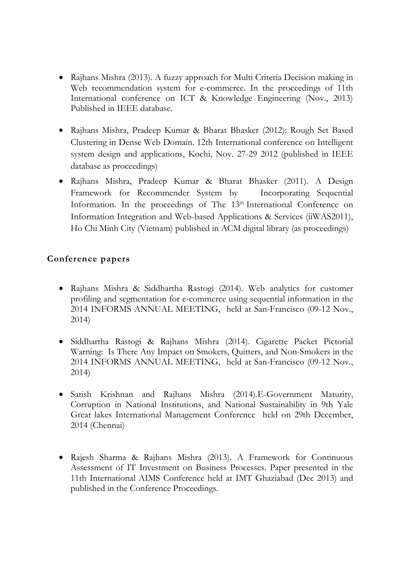- Rajhans Mishra (2013). A fuzzy approach for Multi Criteria Decision making in Web recommendation system for e-commerce. In the proceedings of 11th International conference on ICT & Knowledge Engineering (Nov., 2013) Published in IEEE database.
- Rajhans Mishra, Pradeep Kumar & Bharat Bhasker (2012): Rough Set Based Clustering in Dense Web Domain. 12th International conference on Intelligent system design and applications, Kochi, Nov. 27-29 2012 (published in IEEE database as proceedings)
- Rajhans Mishra, Pradeep Kumar & Bharat Bhasker (2011). A Design Framework for Recommender System by Incorporating Sequential Information. In the proceedings of The 13<sup>th</sup> International Conference on Information Integration and Web-based Applications & Services (iiWAS2011), Ho Chi Minh City (Vietnam) published in ACM digital library (as proceedings)

### **Conference papers**

- Rajhans Mishra & Siddhartha Rastogi (2014). Web analytics for customer profiling and segmentation for e-commerce using sequential information in the 2014 INFORMS ANNUAL MEETING, held at San-Francisco (09-12 Nov., 2014)
- Siddhartha Rastogi & Rajhans Mishra (2014). Cigarette Packet Pictorial Warning: Is There Any Impact on Smokers, Quitters, and Non-Smokers in the 2014 INFORMS ANNUAL MEETING, held at San-Francisco (09-12 Nov., 2014)
- Satish Krishnan and Rajhans Mishra (2014).E-Government Maturity, Corruption in National Institutions, and National Sustainability in 9th Yale Great lakes International Management Conference held on 29th December, 2014 (Chennai)
- Rajesh Sharma & Rajhans Mishra (2013). A Framework for Continuous Assessment of IT Investment on Business Processes. Paper presented in the 11th International AIMS Conference held at IMT Ghaziabad (Dec 2013) and published in the Conference Proceedings.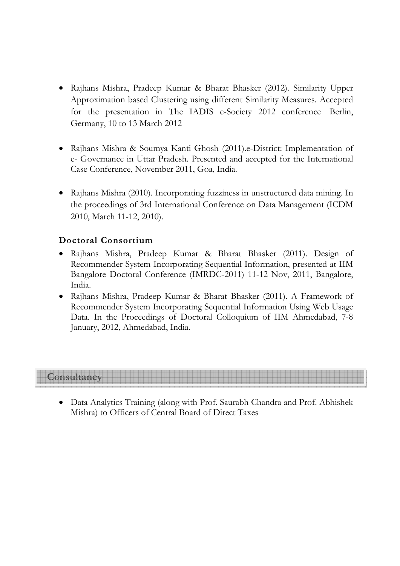- Rajhans Mishra, Pradeep Kumar & Bharat Bhasker (2012). Similarity Upper Approximation based Clustering using different Similarity Measures. Accepted for the presentation in The IADIS e-Society 2012 conference Berlin, Germany, 10 to 13 March 2012
- Rajhans Mishra & Soumya Kanti Ghosh (2011).e-District: Implementation of e- Governance in Uttar Pradesh. Presented and accepted for the International Case Conference, November 2011, Goa, India.
- Rajhans Mishra (2010). Incorporating fuzziness in unstructured data mining. In the proceedings of 3rd International Conference on Data Management (ICDM 2010, March 11-12, 2010).

#### **Doctoral Consortium**

- Rajhans Mishra, Pradeep Kumar & Bharat Bhasker (2011). Design of Recommender System Incorporating Sequential Information, presented at IIM Bangalore Doctoral Conference (IMRDC-2011) 11-12 Nov, 2011, Bangalore, India.
- Rajhans Mishra, Pradeep Kumar & Bharat Bhasker (2011). A Framework of Recommender System Incorporating Sequential Information Using Web Usage Data. In the Proceedings of Doctoral Colloquium of IIM Ahmedabad, 7-8 January, 2012, Ahmedabad, India.

## **Consultancy**

• Data Analytics Training (along with Prof. Saurabh Chandra and Prof. Abhishek Mishra) to Officers of Central Board of Direct Taxes